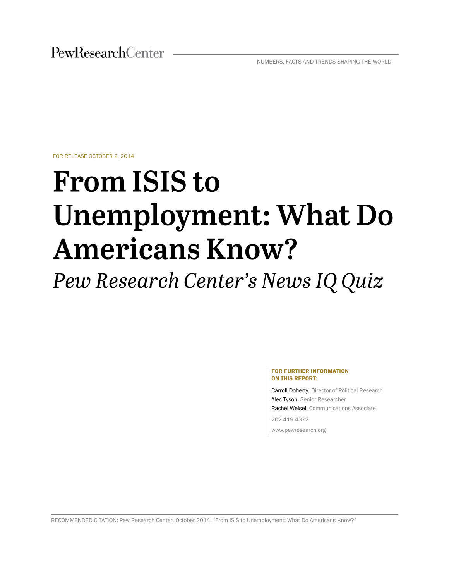PewResearchCenter

NUMBERS, FACTS AND TRENDS SHAPING THE WORLD

FOR RELEASE OCTOBER 2, 2014

# **From ISIS to Unemployment: What Do Americans Know?**

Pew Research Center's News IQ Quiz

#### FOR FURTHER INFORMATION ON THIS REPORT:

Carroll Doherty, Director of Political Research Alec Tyson, Senior Researcher Rachel Weisel, Communications Associate 202.419.4372

www.pewresearch.org

RECOMMENDED CITATION: Pew Research Center, October 2014, "From ISIS to Unemployment: What Do Americans Know?"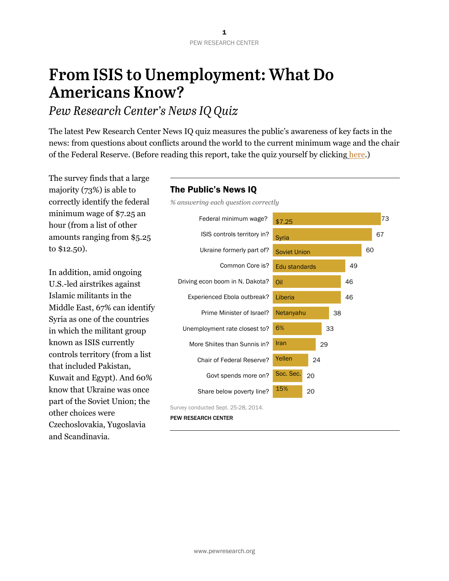## **From ISIS to Unemployment: What Do Americans Know?**

## Pew Research Center's News IQ Quiz

The latest Pew Research Center News IQ quiz measures the public's awareness of key facts in the news: from questions about conflicts around the world to the current minimum wage and the chair of the Federal Reserve. (Before reading this report, take the quiz yourself by clicking [here.](http://www.pewresearch.org/quiz/the-news-iq-quiz/))

The survey finds that a large majority (73%) is able to correctly identify the federal minimum wage of \$7.25 an hour (from a list of other amounts ranging from \$5.25 to \$12.50).

In addition, amid ongoing U.S.-led airstrikes against Islamic militants in the Middle East, 67% can identify Syria as one of the countries in which the militant group known as ISIS currently controls territory (from a list that included Pakistan, Kuwait and Egypt). And 60% know that Ukraine was once part of the Soviet Union; the other choices were Czechoslovakia, Yugoslavia and Scandinavia.

#### The Public's News IQ

*% answering each question correctly*



Survey conducted Sept. 25-28, 2014.

PEW RESEARCH CENTER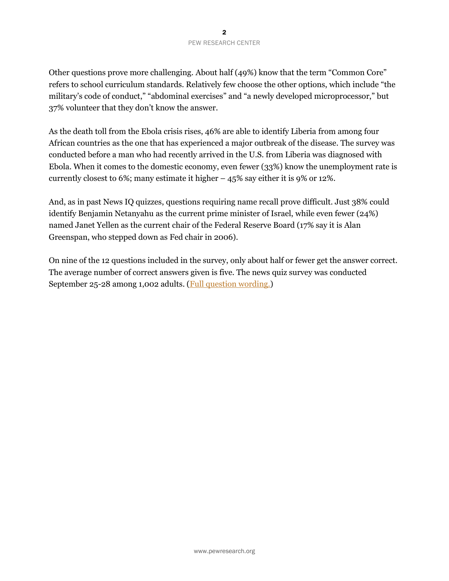Other questions prove more challenging. About half (49%) know that the term "Common Core" refers to school curriculum standards. Relatively few choose the other options, which include "the military's code of conduct," "abdominal exercises" and "a newly developed microprocessor," but 37% volunteer that they don't know the answer.

As the death toll from the Ebola crisis rises, 46% are able to identify Liberia from among four African countries as the one that has experienced a major outbreak of the disease. The survey was conducted before a man who had recently arrived in the U.S. from Liberia was diagnosed with Ebola. When it comes to the domestic economy, even fewer (33%) know the unemployment rate is currently closest to 6%; many estimate it higher – 45% say either it is 9% or 12%.

And, as in past News IQ quizzes, questions requiring name recall prove difficult. Just 38% could identify Benjamin Netanyahu as the current prime minister of Israel, while even fewer (24%) named Janet Yellen as the current chair of the Federal Reserve Board (17% say it is Alan Greenspan, who stepped down as Fed chair in 2006).

On nine of the 12 questions included in the survey, only about half or fewer get the answer correct. The average number of correct answers given is five. The news quiz survey was conducted September 25-28 among 1,002 adults. [\(Full question wording.\)](http://www.people-press.org/files/2014/09/Knowledge-topline-for-release.pdf)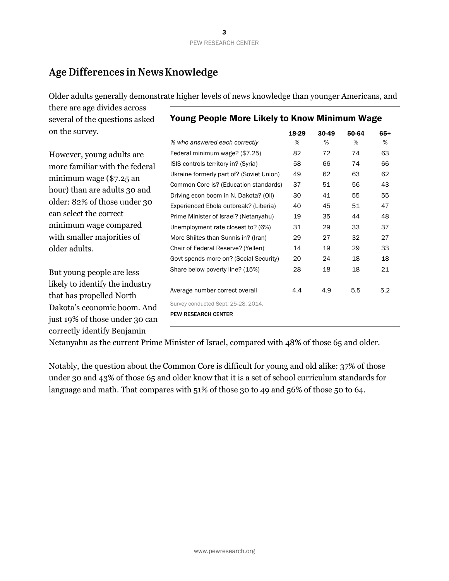## Age Differences in News Knowledge

Older adults generally demonstrate higher levels of news knowledge than younger Americans, and

there are age divides across several of the questions asked on the survey.

#### Young People More Likely to Know Minimum Wage

However, young adults are more familiar with the federal minimum wage (\$7.25 an hour) than are adults 30 and older: 82% of those under 30 can select the correct minimum wage compared with smaller majorities of older adults.

But young people are less likely to identify the industry that has propelled North Dakota's economic boom. And just 19% of those under 30 can correctly identify Benjamin

|                                          | 18-29 | 30-49 | 50-64 | $65+$ |
|------------------------------------------|-------|-------|-------|-------|
| % who answered each correctly            | %     | %     | %     | %     |
| Federal minimum wage? (\$7.25)           | 82    | 72    | 74    | 63    |
| ISIS controls territory in? (Syria)      | 58    | 66    | 74    | 66    |
| Ukraine formerly part of? (Soviet Union) | 49    | 62    | 63    | 62    |
| Common Core is? (Education standards)    | 37    | 51    | 56    | 43    |
| Driving econ boom in N. Dakota? (Oil)    | 30    | 41    | 55    | 55    |
| Experienced Ebola outbreak? (Liberia)    | 40    | 45    | 51    | 47    |
| Prime Minister of Israel? (Netanyahu)    | 19    | 35    | 44    | 48    |
| Unemployment rate closest to? (6%)       | 31    | 29    | 33    | 37    |
| More Shiites than Sunnis in? (Iran)      | 29    | 27    | 32    | 27    |
| Chair of Federal Reserve? (Yellen)       | 14    | 19    | 29    | 33    |
| Govt spends more on? (Social Security)   | 20    | 24    | 18    | 18    |
| Share below poverty line? (15%)          | 28    | 18    | 18    | 21    |
| Average number correct overall           | 4.4   | 4.9   | 5.5   | 5.2   |
| Survey conducted Sept. 25-28, 2014.      |       |       |       |       |
| <b>PEW RESEARCH CENTER</b>               |       |       |       |       |

Netanyahu as the current Prime Minister of Israel, compared with 48% of those 65 and older.

Notably, the question about the Common Core is difficult for young and old alike: 37% of those under 30 and 43% of those 65 and older know that it is a set of school curriculum standards for language and math. That compares with 51% of those 30 to 49 and 56% of those 50 to 64.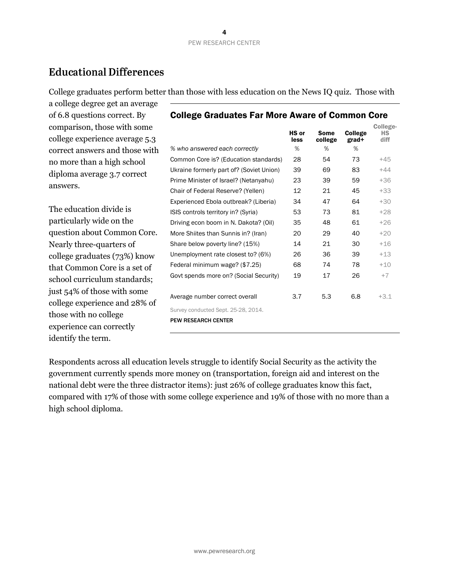### **Educational Differences**

College graduates perform better than those with less education on the News IQ quiz. Those with

a college degree get an average of 6.8 questions correct. By comparison, those with some college experience average 5.3 correct answers and those with no more than a high school diploma average 3.7 correct answers.

The education divide is particularly wide on the question about Common Core. Nearly three-quarters of college graduates (73%) know that Common Core is a set of school curriculum standards; just 54% of those with some college experience and 28% of those with no college experience can correctly identify the term.

|                                          | HS or<br>less | <b>Some</b><br>college | <b>College</b><br>grad+ | College-<br>НS<br>diff |
|------------------------------------------|---------------|------------------------|-------------------------|------------------------|
| % who answered each correctly            | %             | %                      | %                       |                        |
| Common Core is? (Education standards)    | 28            | 54                     | 73                      | $+45$                  |
| Ukraine formerly part of? (Soviet Union) | 39            | 69                     | 83                      | $+44$                  |
| Prime Minister of Israel? (Netanyahu)    | 23            | 39                     | 59                      | $+36$                  |
| Chair of Federal Reserve? (Yellen)       | 12            | 21                     | 45                      | $+33$                  |
| Experienced Ebola outbreak? (Liberia)    | 34            | 47                     | 64                      | $+30$                  |
| ISIS controls territory in? (Syria)      | 53            | 73                     | 81                      | $+28$                  |
| Driving econ boom in N. Dakota? (Oil)    | 35            | 48                     | 61                      | $+26$                  |
| More Shiites than Sunnis in? (Iran)      | 20            | 29                     | 40                      | $+20$                  |
| Share below poverty line? (15%)          | 14            | 21                     | 30                      | $+16$                  |
| Unemployment rate closest to? (6%)       | 26            | 36                     | 39                      | $+13$                  |
| Federal minimum wage? (\$7.25)           | 68            | 74                     | 78                      | $+10$                  |
| Govt spends more on? (Social Security)   | 19            | 17                     | 26                      | $+7$                   |
|                                          |               |                        |                         |                        |
| Average number correct overall           | 3.7           | 5.3                    | 6.8                     | $+3.1$                 |
| Survey conducted Sept. 25-28, 2014.      |               |                        |                         |                        |
| <b>PEW RESEARCH CENTER</b>               |               |                        |                         |                        |
|                                          |               |                        |                         |                        |

#### College Graduates Far More Aware of Common Core

Respondents across all education levels struggle to identify Social Security as the activity the government currently spends more money on (transportation, foreign aid and interest on the national debt were the three distractor items): just 26% of college graduates know this fact, compared with 17% of those with some college experience and 19% of those with no more than a high school diploma.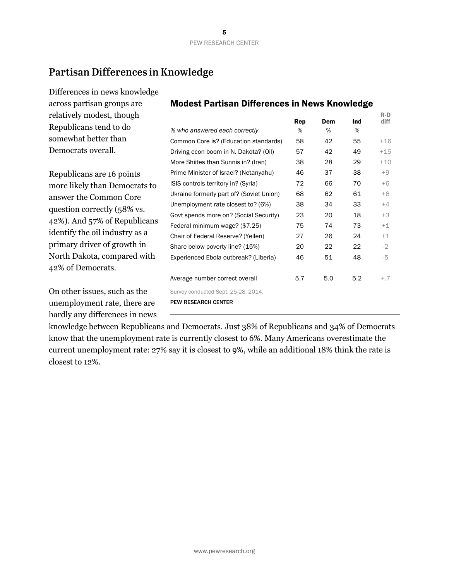R-D diff

## Partisan Differences in Knowledge

hardly any differences in news

Differences in news knowledge across partisan groups are relatively modest, though Republicans tend to do somewhat better than Democrats overall. Republicans are 16 points more likely than Democrats to answer the Common Core question correctly (58% vs. 42%). And 57% of Republicans identify the oil industry as a primary driver of growth in North Dakota, compared with 42% of Democrats. On other issues, such as the unemployment rate, there are Modest Partisan Differences in News Knowledge Rep Dem Ind *% who answered each correctly* % % % Common Core is? (Education standards) 58 42 55 +16 Driving econ boom in N. Dakota? (Oil)  $57$  42 49  $+15$ More Shiites than Sunnis in? (Iran) 38 28 29 +10 Prime Minister of Israel? (Netanyahu) 46 37 38 +9 ISIS controls territory in? (Syria)  $72$  66 70 +6 Ukraine formerly part of? (Soviet Union) 68 62 61 +6 Unemployment rate closest to?  $(6%)$  38 34 33  $+4$ Govt spends more on? (Social Security)  $23$  20 18  $+3$ Federal minimum wage? (\$7.25) 75 74 73  $+1$ Chair of Federal Reserve? (Yellen)  $27$  26  $24$   $+1$ Share below poverty line? (15%) 20 22 22 -2 Experienced Ebola outbreak? (Liberia) 46 51 48 -5 Average number correct overall  $5.7$   $5.0$   $5.2$   $+7$ Survey conducted Sept. 25-28, 2014. PEW RESEARCH CENTER

knowledge between Republicans and Democrats. Just 38% of Republicans and 34% of Democrats know that the unemployment rate is currently closest to 6%. Many Americans overestimate the current unemployment rate: 27% say it is closest to 9%, while an additional 18% think the rate is closest to 12%.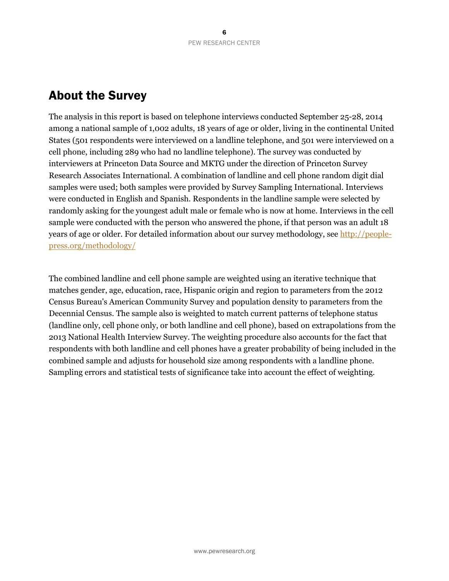## About the Survey

The analysis in this report is based on telephone interviews conducted September 25-28, 2014 among a national sample of 1,002 adults, 18 years of age or older, living in the continental United States (501 respondents were interviewed on a landline telephone, and 501 were interviewed on a cell phone, including 289 who had no landline telephone). The survey was conducted by interviewers at Princeton Data Source and MKTG under the direction of Princeton Survey Research Associates International. A combination of landline and cell phone random digit dial samples were used; both samples were provided by Survey Sampling International. Interviews were conducted in English and Spanish. Respondents in the landline sample were selected by randomly asking for the youngest adult male or female who is now at home. Interviews in the cell sample were conducted with the person who answered the phone, if that person was an adult 18 years of age or older. For detailed information about our survey methodology, see [http://people](http://people-press.org/methodology/)[press.org/methodology/](http://people-press.org/methodology/)

The combined landline and cell phone sample are weighted using an iterative technique that matches gender, age, education, race, Hispanic origin and region to parameters from the 2012 Census Bureau's American Community Survey and population density to parameters from the Decennial Census. The sample also is weighted to match current patterns of telephone status (landline only, cell phone only, or both landline and cell phone), based on extrapolations from the 2013 National Health Interview Survey. The weighting procedure also accounts for the fact that respondents with both landline and cell phones have a greater probability of being included in the combined sample and adjusts for household size among respondents with a landline phone. Sampling errors and statistical tests of significance take into account the effect of weighting.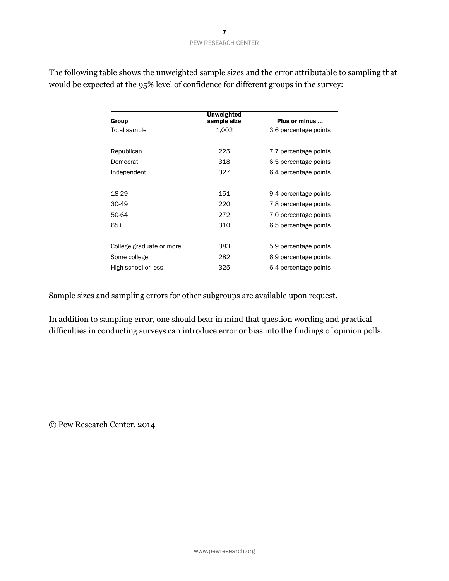|                          | <b>Unweighted</b> |                       |
|--------------------------|-------------------|-----------------------|
| Group                    | sample size       | Plus or minus         |
| Total sample             | 1,002             | 3.6 percentage points |
| Republican               | 225               | 7.7 percentage points |
| Democrat                 | 318               | 6.5 percentage points |
| Independent              | 327               | 6.4 percentage points |
|                          |                   |                       |
| 18-29                    | 151               | 9.4 percentage points |
| 30-49                    | 220               | 7.8 percentage points |
| 50-64                    | 272               | 7.0 percentage points |
| $65+$                    | 310               | 6.5 percentage points |
|                          |                   |                       |
| College graduate or more | 383               | 5.9 percentage points |
| Some college             | 282               | 6.9 percentage points |
| High school or less      | 325               | 6.4 percentage points |

The following table shows the unweighted sample sizes and the error attributable to sampling that would be expected at the 95% level of confidence for different groups in the survey:

Sample sizes and sampling errors for other subgroups are available upon request.

In addition to sampling error, one should bear in mind that question wording and practical difficulties in conducting surveys can introduce error or bias into the findings of opinion polls.

© Pew Research Center, 2014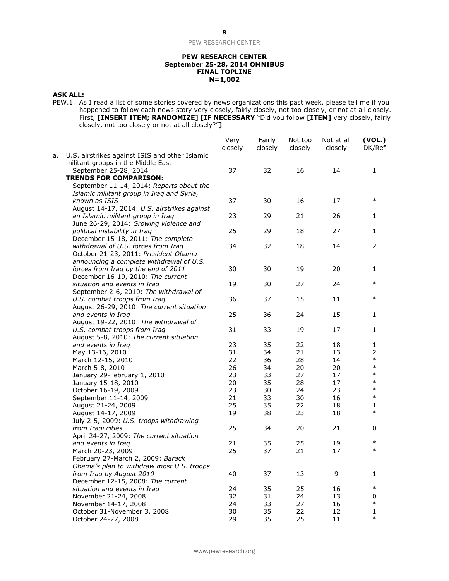#### **PEW RESEARCH CENTER September 25-28, 2014 OMNIBUS FINAL TOPLINE N=1,002**

#### **ASK ALL:**

PEW.1 As I read a list of some stories covered by news organizations this past week, please tell me if you happened to follow each news story very closely, fairly closely, not too closely, or not at all closely. First, **[INSERT ITEM; RANDOMIZE] [IF NECESSARY** "Did you follow **[ITEM]** very closely, fairly closely, not too closely or not at all closely?"**]**

|    |                                                                                      | Very<br>closely | Fairly<br>closely | Not too<br>closely | Not at all<br>closely | (VOL.)<br>DK/Ref |
|----|--------------------------------------------------------------------------------------|-----------------|-------------------|--------------------|-----------------------|------------------|
| а. | U.S. airstrikes against ISIS and other Islamic<br>militant groups in the Middle East |                 |                   |                    |                       |                  |
|    | September 25-28, 2014                                                                | 37              | 32                | 16                 | 14                    | 1                |
|    | <b>TRENDS FOR COMPARISON:</b>                                                        |                 |                   |                    |                       |                  |
|    | September 11-14, 2014: Reports about the                                             |                 |                   |                    |                       |                  |
|    | Islamic militant group in Iraq and Syria,                                            |                 |                   |                    |                       |                  |
|    | known as ISIS                                                                        | 37              | 30                | 16                 | 17                    | $\ast$           |
|    | August 14-17, 2014: U.S. airstrikes against                                          |                 |                   |                    |                       |                  |
|    | an Islamic militant group in Iraq                                                    | 23              | 29                | 21                 | 26                    | 1                |
|    | June 26-29, 2014: Growing violence and                                               |                 |                   |                    |                       |                  |
|    | political instability in Iraq                                                        | 25              | 29                | 18                 | 27                    | 1                |
|    | December 15-18, 2011: The complete                                                   |                 |                   |                    |                       |                  |
|    | withdrawal of U.S. forces from Iraq                                                  | 34              | 32                | 18                 | 14                    | 2                |
|    | October 21-23, 2011: President Obama                                                 |                 |                   |                    |                       |                  |
|    | announcing a complete withdrawal of U.S.                                             |                 |                   |                    |                       |                  |
|    | forces from Iraq by the end of 2011                                                  | 30              | 30                | 19                 | 20                    | 1                |
|    | December 16-19, 2010: The current                                                    |                 |                   |                    |                       | $\ast$           |
|    | situation and events in Iraq                                                         | 19              | 30                | 27                 | 24                    |                  |
|    | September 2-6, 2010: The withdrawal of                                               |                 |                   |                    |                       | $\ast$           |
|    | U.S. combat troops from Iraq<br>August 26-29, 2010: The current situation            | 36              | 37                | 15                 | 11                    |                  |
|    | and events in Iraq                                                                   | 25              | 36                | 24                 | 15                    |                  |
|    | August 19-22, 2010: The withdrawal of                                                |                 |                   |                    |                       | 1                |
|    | U.S. combat troops from Iraq                                                         | 31              | 33                | 19                 | 17                    | 1                |
|    | August 5-8, 2010: The current situation                                              |                 |                   |                    |                       |                  |
|    | and events in Iraq                                                                   | 23              | 35                | 22                 | 18                    | 1                |
|    | May 13-16, 2010                                                                      | 31              | 34                | 21                 | 13                    | 2                |
|    | March 12-15, 2010                                                                    | 22              | 36                | 28                 | 14                    | $\ast$           |
|    | March 5-8, 2010                                                                      | 26              | 34                | 20                 | 20                    | $\ast$           |
|    | January 29-February 1, 2010                                                          | 23              | 33                | 27                 | 17                    | $\ast$           |
|    | January 15-18, 2010                                                                  | 20              | 35                | 28                 | 17                    | $\ast$           |
|    | October 16-19, 2009                                                                  | 23              | 30                | 24                 | 23                    | $\ast$           |
|    | September 11-14, 2009                                                                | 21              | 33                | 30                 | 16                    | $\ast$           |
|    | August 21-24, 2009                                                                   | 25              | 35                | 22                 | 18                    | 1                |
|    | August 14-17, 2009                                                                   | 19              | 38                | 23                 | 18                    | $\ast$           |
|    | July 2-5, 2009: U.S. troops withdrawing                                              |                 |                   |                    |                       |                  |
|    | from Iraqi cities                                                                    | 25              | 34                | 20                 | 21                    | 0                |
|    | April 24-27, 2009: The current situation                                             |                 |                   |                    |                       |                  |
|    | and events in Iraq                                                                   | 21              | 35                | 25                 | 19                    | $\ast$           |
|    | March 20-23, 2009                                                                    | 25              | 37                | 21                 | 17                    | $\ast$           |
|    | February 27-March 2, 2009: Barack                                                    |                 |                   |                    |                       |                  |
|    | Obama's plan to withdraw most U.S. troops                                            |                 |                   |                    |                       |                  |
|    | from Iraq by August 2010                                                             | 40              | 37                | 13                 | 9                     | 1                |
|    | December 12-15, 2008: The current                                                    |                 |                   |                    |                       |                  |
|    | situation and events in Iraq                                                         | 24              | 35                | 25                 | 16                    | $\ast$           |
|    | November 21-24, 2008                                                                 | 32              | 31                | 24                 | 13                    | 0                |
|    | November 14-17, 2008                                                                 | 24              | 33                | 27                 | 16                    | $\ast$           |
|    | October 31-November 3, 2008                                                          | 30              | 35                | 22                 | 12                    | 1                |
|    | October 24-27, 2008                                                                  | 29              | 35                | 25                 | 11                    | $\ast$           |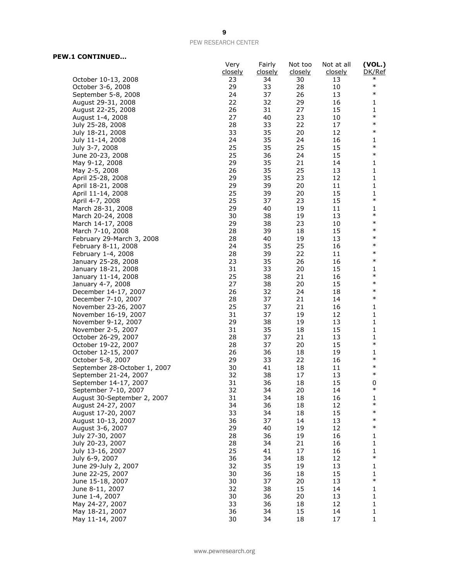#### **PEW.1 CONTINUED…**

|                                               | Very<br><u>closely</u> | Fairly<br><u>closely</u> | Not too<br>closely | Not at all<br><u>closely</u> | (VOL.)<br>DK/Ref |
|-----------------------------------------------|------------------------|--------------------------|--------------------|------------------------------|------------------|
| October 10-13, 2008                           | 23                     | 34                       | 30                 | 13                           | $\ast$           |
| October 3-6, 2008                             | 29                     | 33                       | 28                 | 10                           | $\ast$           |
| September 5-8, 2008                           | 24                     | 37                       | 26                 | 13                           | $\ast$           |
| August 29-31, 2008                            | 22                     | 32                       | 29                 | 16                           | 1                |
| August 22-25, 2008                            | 26                     | 31                       | 27                 | 15                           | 1                |
| August 1-4, 2008                              | 27                     | 40                       | 23                 | 10                           | $\ast$           |
| July 25-28, 2008                              | 28                     | 33                       | 22                 | 17                           | $\ast$           |
| July 18-21, 2008                              | 33                     | 35                       | 20                 | 12                           | $\ast$           |
| July 11-14, 2008                              | 24                     | 35                       | 24                 | 16                           | 1                |
| July 3-7, 2008                                | 25                     | 35                       | 25                 | 15                           | $\ast$           |
| June 20-23, 2008                              | 25                     | 36                       | 24                 | 15                           | $\ast$           |
| May 9-12, 2008                                | 29                     | 35                       | 21                 | 14                           | 1                |
| May 2-5, 2008                                 | 26                     | 35                       | 25                 | 13                           | 1                |
| April 25-28, 2008                             | 29                     | 35                       | 23                 | 12                           | 1                |
| April 18-21, 2008                             | 29                     | 39                       | 20                 | 11                           | $\mathbf{1}$     |
| April 11-14, 2008                             | 25                     | 39                       | 20                 | 15                           | $\mathbf{1}$     |
| April 4-7, 2008                               | 25                     | 37                       | 23                 | 15                           | $\ast$           |
| March 28-31, 2008                             | 29                     | 40                       | 19                 | 11                           | 1                |
| March 20-24, 2008                             | 30                     | 38                       | 19                 | 13                           | $\ast$           |
| March 14-17, 2008                             | 29                     | 38                       | 23                 | 10                           | $\ast$           |
| March 7-10, 2008                              | 28                     | 39                       | 18                 | 15                           | $\ast$           |
| February 29-March 3, 2008                     | 28                     | 40                       | 19                 | 13                           | $\ast$           |
| February 8-11, 2008                           | 24                     | 35                       | 25                 | 16                           | $\ast$           |
| February 1-4, 2008                            | 28                     | 39                       | 22                 | 11                           | $\ast$           |
| January 25-28, 2008                           | 23                     | 35                       | 26                 | 16                           | $\ast$           |
| January 18-21, 2008                           | 31                     | 33                       | 20                 | 15                           | 1                |
| January 11-14, 2008                           | 25                     | 38                       | 21                 | 16                           | $\ast$           |
| January 4-7, 2008                             | 27                     | 38                       | 20                 | 15                           | $\ast$           |
| December 14-17, 2007                          | 26                     | 32                       | 24                 | 18                           | $\ast$           |
| December 7-10, 2007                           | 28                     | 37                       | 21                 | 14                           | $\ast$           |
| November 23-26, 2007                          | 25                     | 37                       | 21                 | 16                           | 1                |
| November 16-19, 2007                          | 31                     | 37                       | 19                 | 12                           | 1                |
| November 9-12, 2007                           | 29                     | 38                       | 19                 | 13                           | $\mathbf{1}$     |
| November 2-5, 2007                            | 31                     | 35                       | 18                 | 15                           | $\mathbf{1}$     |
| October 26-29, 2007                           | 28                     | 37                       | 21                 | 13                           | 1                |
| October 19-22, 2007                           | 28                     | 37                       | 20                 | 15                           | $\ast$           |
| October 12-15, 2007                           | 26                     | 36                       | 18                 | 19                           | 1<br>$\ast$      |
| October 5-8, 2007                             | 29                     | 33                       | 22                 | 16                           | $\ast$           |
| September 28-October 1, 2007                  | 30                     | 41                       | 18                 | 11                           | $\ast$           |
| September 21-24, 2007                         | 32<br>31               | 38<br>36                 | 17<br>18           | 13<br>15                     | 0                |
| September 14-17, 2007<br>September 7-10, 2007 | 32                     | 34                       | 20                 | 14                           | $\ast$           |
| August 30-September 2, 2007                   | 31                     | 34                       | 18                 | 16                           | 1                |
| August 24-27, 2007                            | 34                     | 36                       | 18                 | 12                           | $\ast$           |
| August 17-20, 2007                            | 33                     | 34                       | 18                 | 15                           | $\ast$           |
| August 10-13, 2007                            | 36                     | 37                       | 14                 | 13                           | $\ast$           |
| August 3-6, 2007                              | 29                     | 40                       | 19                 | 12                           | $\ast$           |
| July 27-30, 2007                              | 28                     | 36                       | 19                 | 16                           | 1                |
| July 20-23, 2007                              | 28                     | 34                       | 21                 | 16                           | $\mathbf{1}$     |
| July 13-16, 2007                              | 25                     | 41                       | 17                 | 16                           | 1                |
| July 6-9, 2007                                | 36                     | 34                       | 18                 | 12                           | $\ast$           |
| June 29-July 2, 2007                          | 32                     | 35                       | 19                 | 13                           | $\mathbf{1}$     |
| June 22-25, 2007                              | 30                     | 36                       | 18                 | 15                           | 1                |
| June 15-18, 2007                              | 30                     | 37                       | 20                 | 13                           | $\ast$           |
| June 8-11, 2007                               | 32                     | 38                       | 15                 | 14                           | $\mathbf{1}$     |
| June 1-4, 2007                                | 30                     | 36                       | 20                 | 13                           | $\mathbf 1$      |
| May 24-27, 2007                               | 33                     | 36                       | 18                 | 12                           | 1                |
| May 18-21, 2007                               | 36                     | 34                       | 15                 | 14                           | $\mathbf{1}$     |
| May 11-14, 2007                               | 30                     | 34                       | 18                 | 17                           | 1                |

www.pewresearch.org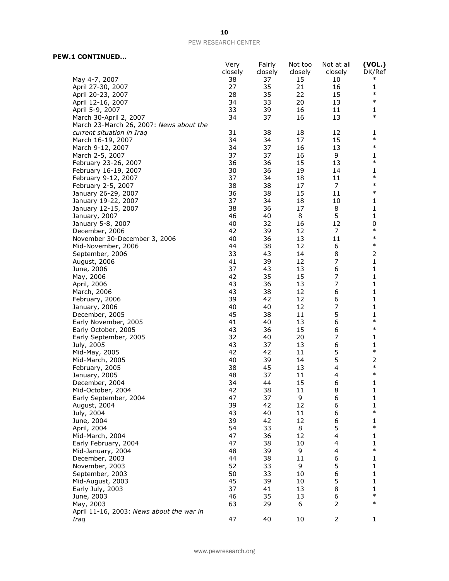#### **PEW.1 CONTINUED…**

|                                                  | Very<br>closely | Fairly<br><u>closely</u> | Not too<br>closely | Not at all<br>closely | (VOL.)<br>DK/Ref       |
|--------------------------------------------------|-----------------|--------------------------|--------------------|-----------------------|------------------------|
| May 4-7, 2007                                    | 38              | 37                       | 15                 | 10                    | $\ast$                 |
| April 27-30, 2007                                | 27              | 35                       | 21                 | 16                    | 1                      |
| April 20-23, 2007                                | 28              | 35                       | 22                 | 15                    | $\ast$                 |
| April 12-16, 2007                                | 34              | 33                       | 20                 | 13                    | $\ast$                 |
| April 5-9, 2007                                  | 33              | 39                       | 16                 | 11                    | 1                      |
| March 30-April 2, 2007                           | 34              | 37                       | 16                 | 13                    | $\ast$                 |
| March 23-March 26, 2007: News about the          |                 |                          |                    |                       |                        |
| current situation in Iraq                        | 31              | 38                       | 18                 | 12                    | 1                      |
| March 16-19, 2007                                | 34              | 34                       | 17                 | 15                    | $\ast$                 |
| March 9-12, 2007                                 | 34              | 37                       | 16                 | 13                    | $\ast$                 |
| March 2-5, 2007                                  | 37              | 37                       | 16                 | 9                     | 1                      |
| February 23-26, 2007                             | 36              | 36                       | 15                 | 13                    | $\ast$                 |
| February 16-19, 2007                             | 30              | 36                       | 19                 | 14                    | 1<br>$\ast$            |
| February 9-12, 2007                              | 37              | 34                       | 18                 | 11<br>7               | $\ast$                 |
| February 2-5, 2007                               | 38<br>36        | 38<br>38                 | 17<br>15           | 11                    | $\ast$                 |
| January 26-29, 2007<br>January 19-22, 2007       | 37              | 34                       | 18                 | 10                    | 1                      |
| January 12-15, 2007                              | 38              | 36                       | 17                 | 8                     | 1                      |
| January, 2007                                    | 46              | 40                       | 8                  | 5                     | 1                      |
| January 5-8, 2007                                | 40              | 32                       | 16                 | 12                    | 0                      |
| December, 2006                                   | 42              | 39                       | 12                 | 7                     | $\ast$                 |
| November 30-December 3, 2006                     | 40              | 36                       | 13                 | 11                    | $\ast$                 |
| Mid-November, 2006                               | 44              | 38                       | 12                 | 6                     | $\ast$                 |
| September, 2006                                  | 33              | 43                       | 14                 | 8                     | 2                      |
| August, 2006                                     | 41              | 39                       | 12                 | 7                     | 1                      |
| June, 2006                                       | 37              | 43                       | 13                 | 6                     | 1                      |
| May, 2006                                        | 42              | 35                       | 15                 | $\overline{7}$        | 1                      |
| April, 2006                                      | 43              | 36                       | 13                 | 7                     | 1                      |
| March, 2006                                      | 43              | 38                       | 12                 | 6                     | 1                      |
| February, 2006                                   | 39              | 42                       | 12                 | 6                     | 1                      |
| January, 2006                                    | 40              | 40                       | 12                 | $\overline{7}$        | 1                      |
| December, 2005                                   | 45              | 38                       | 11                 | 5                     | 1                      |
| Early November, 2005                             | 41              | 40                       | 13                 | 6                     | $\ast$                 |
| Early October, 2005                              | 43              | 36                       | 15                 | 6                     | $\ast$                 |
| Early September, 2005                            | 32              | 40                       | 20                 | 7                     | 1                      |
| July, 2005                                       | 43<br>42        | 37                       | 13<br>11           | 6<br>5                | 1<br>$\ast$            |
| Mid-May, 2005                                    | 40              | 42<br>39                 | 14                 | 5                     | 2                      |
| Mid-March, 2005<br>February, 2005                | 38              | 45                       | 13                 | 4                     | $\ast$                 |
| January, 2005                                    | 48              | 37                       | 11                 | 4                     | $\ast$                 |
| December, 2004                                   | 34              | 44                       | 15                 | 6                     | 1                      |
| Mid-October, 2004                                | 42              | 38                       | 11                 | 8                     | 1                      |
| Early September, 2004                            | 47              | 37                       | 9                  | 6                     | 1                      |
| August, 2004                                     | 39              | 42                       | 12                 | 6                     | 1                      |
| July, 2004                                       | 43              | 40                       | 11                 | 6                     | $\ast$                 |
| June, 2004                                       | 39              | 42                       | 12                 | 6                     | 1                      |
| April, 2004                                      | 54              | 33                       | 8                  | 5                     | $\ast$                 |
| Mid-March, 2004                                  | 47              | 36                       | 12                 | $\overline{4}$        | 1                      |
| Early February, 2004                             | 47              | 38                       | 10                 | 4                     | 1                      |
| Mid-January, 2004                                | 48              | 39                       | 9                  | 4                     | $\ast$                 |
| December, 2003                                   | 44              | 38                       | 11                 | 6                     | $\mathbf{1}$           |
| November, 2003                                   | 52              | 33                       | 9                  | 5                     | $\mathbf{1}$           |
| September, 2003                                  | 50              | 33                       | 10                 | 6                     | 1                      |
| Mid-August, 2003                                 | 45              | 39                       | 10                 | 5                     | 1                      |
| Early July, 2003                                 | 37              | 41                       | 13                 | 8                     | $\mathbf{1}$<br>$\ast$ |
| June, 2003                                       | 46              | 35                       | 13                 | 6<br>$\overline{2}$   | $\ast$                 |
| May, 2003                                        | 63              | 29                       | 6                  |                       |                        |
| April 11-16, 2003: News about the war in<br>Iraq | 47              | 40                       | 10                 | 2                     | 1                      |
|                                                  |                 |                          |                    |                       |                        |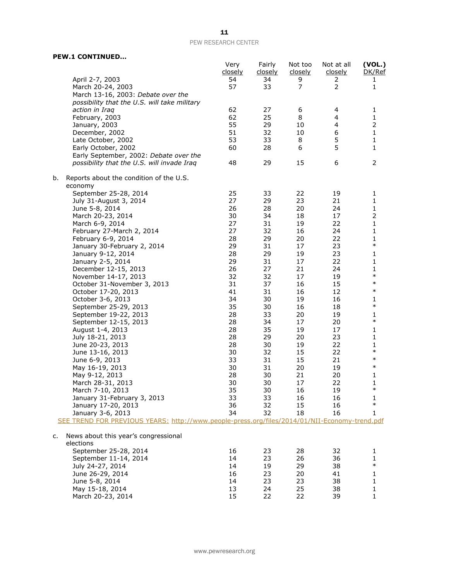|                                                                                               | Very<br>closely | Fairly<br>closely | Not too<br>closely | Not at all<br><u>closely</u> | (VOL.)<br>DK/Ref    |
|-----------------------------------------------------------------------------------------------|-----------------|-------------------|--------------------|------------------------------|---------------------|
| April 2-7, 2003                                                                               | 54              | 34                | 9                  | 2                            | 1                   |
| March 20-24, 2003                                                                             | 57              | 33                | $\overline{7}$     | $\overline{2}$               | $\mathbf{1}$        |
| March 13-16, 2003: Debate over the                                                            |                 |                   |                    |                              |                     |
| possibility that the U.S. will take military                                                  |                 |                   |                    |                              |                     |
| action in Iraq                                                                                | 62              | 27                | 6                  | 4                            | 1                   |
| February, 2003                                                                                | 62              | 25                | 8                  | 4                            | $\mathbf{1}$        |
| January, 2003                                                                                 | 55              | 29                | 10                 | 4                            | $\overline{2}$      |
| December, 2002                                                                                | 51              | 32                | 10                 | 6                            | $\mathbf{1}$        |
| Late October, 2002                                                                            | 53              | 33                | 8                  | 5                            | $\mathbf{1}$        |
| Early October, 2002                                                                           | 60              | 28                | 6                  | 5                            | 1                   |
| Early September, 2002: Debate over the                                                        |                 |                   |                    |                              |                     |
| possibility that the U.S. will invade Iraq                                                    | 48              | 29                | 15                 | 6                            | 2                   |
| Reports about the condition of the U.S.<br>b.                                                 |                 |                   |                    |                              |                     |
| economy                                                                                       |                 |                   |                    |                              |                     |
| September 25-28, 2014                                                                         | 25              | 33                | 22                 | 19                           | 1                   |
| July 31-August 3, 2014                                                                        | 27<br>26        | 29                | 23<br>20           | 21<br>24                     | 1                   |
| June 5-8, 2014<br>March 20-23, 2014                                                           | 30              | 28<br>34          | 18                 | 17                           | 1<br>$\overline{2}$ |
| March 6-9, 2014                                                                               | 27              | 31                | 19                 | 22                           | 1                   |
| February 27-March 2, 2014                                                                     | 27              | 32                | 16                 | 24                           | 1                   |
| February 6-9, 2014                                                                            | 28              | 29                | 20                 | 22                           | $\mathbf{1}$        |
| January 30-February 2, 2014                                                                   | 29              | 31                | 17                 | 23                           | $\ast$              |
| January 9-12, 2014                                                                            | 28              | 29                | 19                 | 23                           | 1                   |
| January 2-5, 2014                                                                             | 29              | 31                | 17                 | 22                           | 1                   |
| December 12-15, 2013                                                                          | 26              | 27                | 21                 | 24                           | 1                   |
| November 14-17, 2013                                                                          | 32              | 32                | 17                 | 19                           | $\ast$              |
| October 31-November 3, 2013                                                                   | 31              | 37                | 16                 | 15                           | $\ast$              |
| October 17-20, 2013                                                                           | 41              | 31                | 16                 | 12                           | $\ast$              |
| October 3-6, 2013                                                                             | 34              | 30                | 19                 | 16                           | 1                   |
| September 25-29, 2013                                                                         | 35              | 30                | 16                 | 18                           | $\ast$              |
| September 19-22, 2013                                                                         | 28              | 33                | 20                 | 19                           | 1                   |
| September 12-15, 2013                                                                         | 28              | 34                | 17                 | 20                           | $\ast$              |
| August 1-4, 2013                                                                              | 28              | 35                | 19                 | 17                           | 1                   |
| July 18-21, 2013                                                                              | 28              | 29                | 20                 | 23                           | 1                   |
| June 20-23, 2013                                                                              | 28              | 30                | 19                 | 22                           | 1                   |
| June 13-16, 2013                                                                              | 30              | 32                | 15                 | 22                           | $\ast$              |
| June 6-9, 2013                                                                                | 33              | 31                | 15                 | 21                           | $\ast$              |
| May 16-19, 2013                                                                               | 30              | 31                | 20                 | 19                           | $\ast$              |
| May 9-12, 2013                                                                                | 28              | 30                | 21                 | 20                           | 1                   |
| March 28-31, 2013                                                                             | 30              | 30                | 17                 | 22                           | 1<br>$\ast$         |
| March 7-10, 2013                                                                              | 35              | 30                | 16                 | 19                           |                     |
| January 31-February 3, 2013                                                                   | 33              | 33                | 16                 | 16                           | 1<br>$\ast$         |
| January 17-20, 2013                                                                           | 36              | 32                | 15                 | 16                           |                     |
| January 3-6, 2013                                                                             | 34              | 32                | 18                 | 16                           | $\mathbf{1}$        |
| SEE TREND FOR PREVIOUS YEARS: http://www.people-press.org/files/2014/01/NII-Economy-trend.pdf |                 |                   |                    |                              |                     |
| News about this year's congressional<br>c.<br>elections                                       |                 |                   |                    |                              |                     |
| September 25-28, 2014                                                                         | 16              | 23                | 28                 | 32                           | 1                   |
| September 11-14, 2014                                                                         | 14              | 23                | 26                 | 36                           | 1                   |
| July 24-27, 2014                                                                              | 14              | 19                | 29                 | 38                           | $\ast$              |
| June 26-29, 2014                                                                              | 16              | 23                | 20                 | 41                           | 1                   |
| June 5-8, 2014                                                                                | 14              | 23                | 23                 | 38                           | 1                   |
| May 15-18, 2014                                                                               | 13              | 24                | 25                 | 38                           | 1                   |
| March 20-23, 2014                                                                             | 15              | 22                | 22                 | 39                           | $\mathbf{1}$        |

**PEW.1 CONTINUED…**

www.pewresearch.org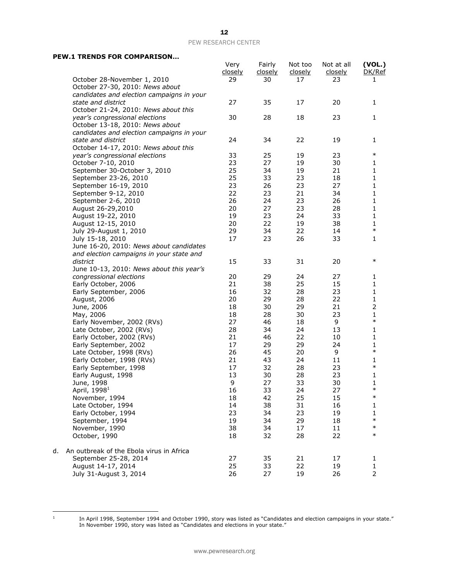#### **PEW.1 TRENDS FOR COMPARISON…**

|    |                                           | Very<br>closely | Fairly<br><u>closely</u> | Not too<br>closely | Not at all<br>closely | (VOL.)<br>DK/Ref    |
|----|-------------------------------------------|-----------------|--------------------------|--------------------|-----------------------|---------------------|
|    | October 28-November 1, 2010               | 29              | 30                       | 17                 | 23                    | 1                   |
|    | October 27-30, 2010: News about           |                 |                          |                    |                       |                     |
|    | candidates and election campaigns in your |                 |                          |                    |                       |                     |
|    | state and district                        | 27              | 35                       | 17                 | 20                    | 1                   |
|    | October 21-24, 2010: News about this      |                 |                          |                    |                       |                     |
|    | year's congressional elections            | 30              | 28                       | 18                 | 23                    | 1                   |
|    | October 13-18, 2010: News about           |                 |                          |                    |                       |                     |
|    | candidates and election campaigns in your |                 |                          |                    |                       |                     |
|    | state and district                        | 24              | 34                       | 22                 | 19                    | 1                   |
|    | October 14-17, 2010: News about this      |                 |                          |                    |                       |                     |
|    | year's congressional elections            | 33              | 25                       | 19                 | 23                    | $\ast$              |
|    | October 7-10, 2010                        | 23              | 27                       | 19                 | 30                    | 1                   |
|    | September 30-October 3, 2010              | 25              | 34                       | 19                 | 21                    | 1                   |
|    | September 23-26, 2010                     | 25              | 33                       | 23                 | 18                    | 1                   |
|    | September 16-19, 2010                     | 23              | 26                       | 23                 | 27                    | $\mathbf{1}$        |
|    | September 9-12, 2010                      | 22              | 23                       | 21                 | 34                    | 1                   |
|    | September 2-6, 2010                       | 26              | 24                       | 23                 | 26                    | 1                   |
|    | August 26-29,2010                         | 20              | 27                       | 23                 | 28                    | 1                   |
|    | August 19-22, 2010                        | 19              | 23                       | 24                 | 33                    | $\mathbf{1}$        |
|    | August 12-15, 2010                        | 20              | 22                       | 19                 | 38                    | 1                   |
|    | July 29-August 1, 2010                    | 29              | 34                       | 22                 | 14                    | $\ast$              |
|    | July 15-18, 2010                          | 17              | 23                       | 26                 | 33                    | 1                   |
|    | June 16-20, 2010: News about candidates   |                 |                          |                    |                       |                     |
|    | and election campaigns in your state and  |                 |                          |                    |                       | $\ast$              |
|    | district                                  | 15              | 33                       | 31                 | 20                    |                     |
|    | June 10-13, 2010: News about this year's  |                 |                          |                    |                       |                     |
|    | congressional elections                   | 20              | 29                       | 24                 | 27                    | 1                   |
|    | Early October, 2006                       | 21              | 38                       | 25                 | 15                    | 1                   |
|    | Early September, 2006                     | 16<br>20        | 32<br>29                 | 28<br>28           | 23<br>22              | $\mathbf{1}$        |
|    | August, 2006<br>June, 2006                | 18              | 30                       | 29                 | 21                    | 1<br>$\overline{2}$ |
|    | May, 2006                                 | 18              | 28                       | 30                 | 23                    | $\mathbf{1}$        |
|    | Early November, 2002 (RVs)                | 27              | 46                       | 18                 | 9                     | $\ast$              |
|    | Late October, 2002 (RVs)                  | 28              | 34                       | 24                 | 13                    | 1                   |
|    | Early October, 2002 (RVs)                 | 21              | 46                       | 22                 | 10                    | 1                   |
|    | Early September, 2002                     | 17              | 29                       | 29                 | 24                    | 1                   |
|    | Late October, 1998 (RVs)                  | 26              | 45                       | 20                 | 9                     | $\ast$              |
|    | Early October, 1998 (RVs)                 | 21              | 43                       | 24                 | 11                    | 1                   |
|    | Early September, 1998                     | 17              | 32                       | 28                 | 23                    | $\ast$              |
|    | Early August, 1998                        | 13              | 30                       | 28                 | 23                    | 1                   |
|    | June, 1998                                | 9               | 27                       | 33                 | 30                    | 1                   |
|    | April, 1998 <sup>1</sup>                  | 16              | 33                       | 24                 | 27                    | $\ast$              |
|    | November, 1994                            | 18              | 42                       | 25                 | 15                    | $\ast$              |
|    | Late October, 1994                        | 14              | 38                       | 31                 | 16                    | 1                   |
|    | Early October, 1994                       | 23              | 34                       | 23                 | 19                    | 1                   |
|    | September, 1994                           | 19              | 34                       | 29                 | 18                    | $\ast$              |
|    | November, 1990                            | 38              | 34                       | 17                 | 11                    | $\ast$              |
|    | October, 1990                             | 18              | 32                       | 28                 | 22                    | $\ast$              |
| d. | An outbreak of the Ebola virus in Africa  |                 |                          |                    |                       |                     |
|    | September 25-28, 2014                     | 27              | 35                       | 21                 | 17                    | 1                   |
|    | August 14-17, 2014                        | 25              | 33                       | 22                 | 19                    | 1                   |
|    | July 31-August 3, 2014                    | 26              | 27                       | 19                 | 26                    | $\overline{2}$      |

 $\frac{1}{1}$ 

In April 1998, September 1994 and October 1990, story was listed as "Candidates and election campaigns in your state." In November 1990, story was listed as "Candidates and elections in your state."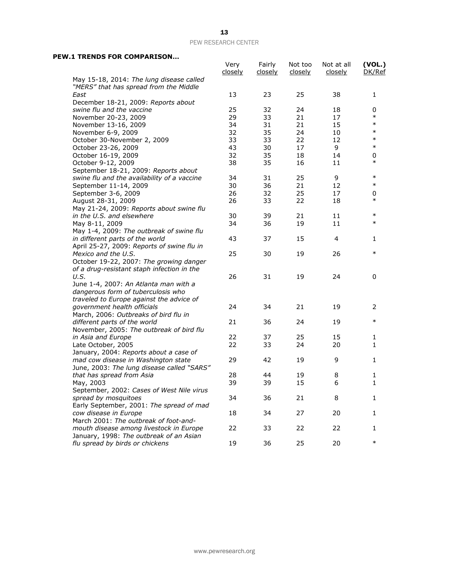#### **PEW.1 TRENDS FOR COMPARISON…**

|                                                                                    | Very<br>closely | Fairly<br><u>closely</u> | Not too<br><u>closely</u> | Not at all<br><u>closely</u> | (VOL.)<br>DK/Ref |
|------------------------------------------------------------------------------------|-----------------|--------------------------|---------------------------|------------------------------|------------------|
| May 15-18, 2014: The lung disease called<br>"MERS" that has spread from the Middle |                 |                          |                           |                              |                  |
| East                                                                               | 13              | 23                       | 25                        | 38                           | 1                |
| December 18-21, 2009: Reports about                                                |                 |                          |                           |                              |                  |
| swine flu and the vaccine                                                          | 25              | 32                       | 24                        | 18                           | 0                |
| November 20-23, 2009                                                               | 29              | 33                       | 21                        | 17                           | $\ast$           |
| November 13-16, 2009                                                               | 34              | 31                       | 21                        | 15                           | $\ast$           |
| November 6-9, 2009                                                                 | 32              | 35                       | 24                        | 10                           | $\ast$           |
| October 30-November 2, 2009                                                        | 33              | 33                       | 22                        | 12                           | $\ast$           |
| October 23-26, 2009                                                                | 43              | 30                       | 17                        | 9                            | $\ast$           |
| October 16-19, 2009                                                                | 32              | 35                       | 18                        | 14                           | 0                |
| October 9-12, 2009                                                                 | 38              | 35                       | 16                        | 11                           | $\ast$           |
| September 18-21, 2009: Reports about                                               |                 |                          |                           |                              |                  |
| swine flu and the availability of a vaccine                                        | 34              | 31                       | 25                        | 9                            | $\ast$           |
| September 11-14, 2009                                                              | 30              | 36                       | 21                        | 12                           | $\ast$           |
| September 3-6, 2009                                                                | 26              | 32                       | 25                        | 17                           | 0                |
| August 28-31, 2009                                                                 | 26              | 33                       | 22                        | 18                           | $\ast$           |
| May 21-24, 2009: Reports about swine flu                                           |                 |                          |                           |                              |                  |
| in the U.S. and elsewhere                                                          | 30              | 39                       | 21                        | 11                           | $\ast$           |
| May 8-11, 2009                                                                     | 34              | 36                       | 19                        | 11                           | $\ast$           |
| May 1-4, 2009: The outbreak of swine flu                                           |                 |                          |                           |                              |                  |
| in different parts of the world                                                    | 43              | 37                       | 15                        | 4                            | 1                |
| April 25-27, 2009: Reports of swine flu in                                         |                 |                          |                           |                              |                  |
| Mexico and the U.S.                                                                | 25              | 30                       | 19                        | 26                           | $\ast$           |
| October 19-22, 2007: The growing danger                                            |                 |                          |                           |                              |                  |
| of a drug-resistant staph infection in the                                         |                 |                          |                           |                              |                  |
| U.S.                                                                               | 26              | 31                       | 19                        | 24                           | 0                |
| June 1-4, 2007: An Atlanta man with a                                              |                 |                          |                           |                              |                  |
| dangerous form of tuberculosis who                                                 |                 |                          |                           |                              |                  |
| traveled to Europe against the advice of                                           |                 |                          |                           |                              |                  |
| government health officials                                                        | 24              | 34                       | 21                        | 19                           | 2                |
| March, 2006: Outbreaks of bird flu in                                              |                 |                          |                           |                              |                  |
| different parts of the world                                                       | 21              | 36                       | 24                        | 19                           | $\ast$           |
| November, 2005: The outbreak of bird flu                                           |                 |                          |                           |                              |                  |
| in Asia and Europe                                                                 | 22              | 37                       | 25                        | 15                           | 1                |
| Late October, 2005                                                                 | 22              | 33                       | 24                        | 20                           | 1                |
| January, 2004: Reports about a case of                                             |                 |                          |                           |                              |                  |
| mad cow disease in Washington state                                                | 29              | 42                       | 19                        | 9                            | 1                |
| June, 2003: The lung disease called "SARS"                                         |                 |                          |                           |                              |                  |
| that has spread from Asia                                                          | 28              | 44                       | 19                        | 8                            | 1                |
| May, 2003                                                                          | 39              | 39                       | 15                        | 6                            | 1                |
| September, 2002: Cases of West Nile virus                                          |                 |                          |                           |                              |                  |
| spread by mosquitoes                                                               | 34              | 36                       | 21                        | 8                            | 1                |
| Early September, 2001: The spread of mad                                           |                 |                          |                           |                              |                  |
| cow disease in Europe                                                              | 18              | 34                       | 27                        | 20                           | 1                |
| March 2001: The outbreak of foot-and-                                              |                 |                          |                           |                              |                  |
| mouth disease among livestock in Europe                                            | 22              | 33                       | 22                        | 22                           | 1                |
| January, 1998: The outbreak of an Asian                                            |                 |                          |                           |                              |                  |
| flu spread by birds or chickens                                                    | 19              | 36                       | 25                        | 20                           | $\ast$           |

www.pewresearch.org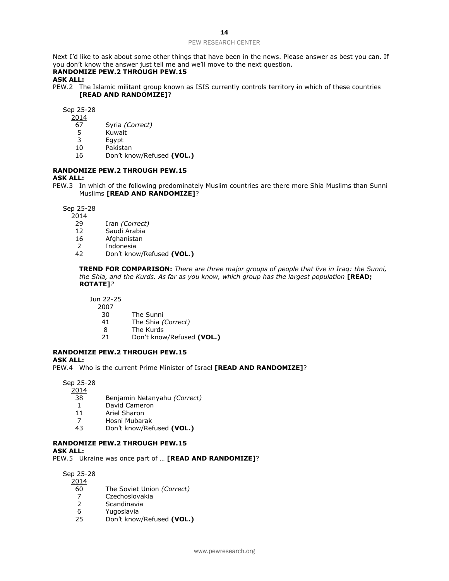Next I'd like to ask about some other things that have been in the news. Please answer as best you can. If you don't know the answer just tell me and we'll move to the next question.

#### **RANDOMIZE PEW.2 THROUGH PEW.15**

#### **ASK ALL:**

PEW.2 The Islamic militant group known as ISIS currently controls territory in which of these countries **[READ AND RANDOMIZE]**?

Sep 25-28

- 2014
- 67 Syria *(Correct)*
- **Kuwait**
- 3 Egypt
- 10 Pakistan
- 16 Don't know/Refused **(VOL.)**

#### **RANDOMIZE PEW.2 THROUGH PEW.15**

#### **ASK ALL:**

PEW.3 In which of the following predominately Muslim countries are there more Shia Muslims than Sunni Muslims **[READ AND RANDOMIZE]**?

Sep 25-28

2014

- 29 Iran *(Correct)*
- 12 Saudi Arabia
- 16 Afghanistan
- 2 Indonesia
- 42 Don't know/Refused **(VOL.)**

**TREND FOR COMPARISON:** *There are three major groups of people that live in Iraq: the Sunni, the Shia, and the Kurds. As far as you know, which group has the largest population* [READ; **ROTATE]***?*

Jun 22-25

- $\frac{2007}{30}$ 
	- The Sunni
- 41 The Shia *(Correct)*
- 8 The Kurds
- 21 Don't know/Refused **(VOL.)**

#### **RANDOMIZE PEW.2 THROUGH PEW.15**

**ASK ALL:**

PEW.4 Who is the current Prime Minister of Israel **[READ AND RANDOMIZE]**?

Sep 25-28

2014

- 38 Benjamin Netanyahu *(Correct)*
- 1 David Cameron
- 11 Ariel Sharon
- 7 Hosni Mubarak
- 43 Don't know/Refused **(VOL.)**

#### **RANDOMIZE PEW.2 THROUGH PEW.15**

#### **ASK ALL:**

PEW.5 Ukraine was once part of … **[READ AND RANDOMIZE]**?

Sep 25-28

2014

- 60 The Soviet Union *(Correct)*
- 7 Czechoslovakia<br>2 Scandinavia
- **Scandinavia**
- 6 Yugoslavia
- 25 Don't know/Refused **(VOL.)**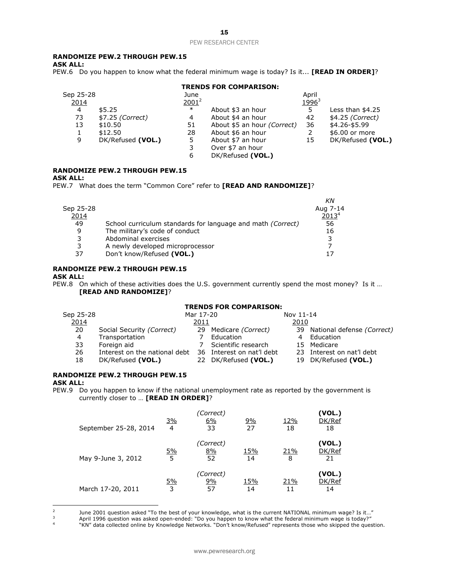#### 15

#### PEW RESEARCH CENTER

#### **RANDOMIZE PEW.2 THROUGH PEW.15**

**ASK ALL:**

PEW.6 Do you happen to know what the federal minimum wage is today? Is it... **[READ IN ORDER]**?

#### **TRENDS FOR COMPARISON:**

| Sep 25-28 |                   | June     |                             | April                    |                   |
|-----------|-------------------|----------|-----------------------------|--------------------------|-------------------|
| 2014      |                   | $2001^2$ |                             | <u>1996</u> <sup>3</sup> |                   |
| 4         | \$5.25            | $\ast$   | About \$3 an hour           | 5                        | Less than $$4.25$ |
| 73        | \$7.25 (Correct)  | 4        | About \$4 an hour           | 42                       | \$4.25 (Correct)  |
| 13        | \$10.50           | 51       | About \$5 an hour (Correct) | 36                       | \$4.26-\$5.99     |
|           | \$12.50           | 28       | About \$6 an hour           | 2                        | \$6.00 or more    |
| 9         | DK/Refused (VOL.) | 5        | About \$7 an hour           | 15                       | DK/Refused (VOL.) |
|           |                   |          | Over \$7 an hour            |                          |                   |
|           |                   | 6        | DK/Refused (VOL.)           |                          |                   |
|           |                   |          |                             |                          |                   |

#### **RANDOMIZE PEW.2 THROUGH PEW.15**

#### **ASK ALL:**

PEW.7 What does the term "Common Core" refer to **[READ AND RANDOMIZE]**?

|           |                                                                    | ΚN                |
|-----------|--------------------------------------------------------------------|-------------------|
| Sep 25-28 |                                                                    | Aug 7-14          |
| 2014      |                                                                    | 2013 <sup>4</sup> |
| 49        | School curriculum standards for language and math <i>(Correct)</i> | 56                |
| 9         | The military's code of conduct                                     | 16                |
| 3         | Abdominal exercises                                                |                   |
| 3         | A newly developed microprocessor                                   |                   |
| 37        | Don't know/Refused (VOL.)                                          |                   |
|           |                                                                    |                   |

#### **RANDOMIZE PEW.2 THROUGH PEW.15**

#### **ASK ALL:**

PEW.8 On which of these activities does the U.S. government currently spend the most money? Is it … **[READ AND RANDOMIZE]**?

#### **TRENDS FOR COMPARISON:**

| Sep 25-28 |                               | Mar 17-20 |                           | Nov 11-14 |                               |
|-----------|-------------------------------|-----------|---------------------------|-----------|-------------------------------|
| 2014      |                               | 2011      |                           | 2010      |                               |
| 20        | Social Security (Correct)     |           | 29 Medicare (Correct)     |           | 39 National defense (Correct) |
| 4         | Transportation                |           | Education                 |           | Education                     |
| 33        | Foreign aid                   |           | Scientific research       |           | 15 Medicare                   |
| 26        | Interest on the national debt |           | 36 Interest on nat'l debt |           | 23 Interest on nat'l debt     |
| 18        | DK/Refused (VOL.)             |           | 22 DK/Refused (VOL.)      |           | 19 DK/Refused (VOL.)          |

#### **RANDOMIZE PEW.2 THROUGH PEW.15**

#### **ASK ALL:**

PEW.9 Do you happen to know if the national unemployment rate as reported by the government is currently closer to … **[READ IN ORDER]**?

| September 25-28, 2014 | <u>3%</u><br>$\overline{4}$ | 'Correct)<br>6%<br>33 | <u>9%</u><br>27 | 12%<br>18 | (VOL.)<br>DK/Ref<br>18 |
|-----------------------|-----------------------------|-----------------------|-----------------|-----------|------------------------|
| May 9-June 3, 2012    | <u>5%</u><br>5              | (Correct)<br>8%<br>52 | 15%<br>14       | 21%<br>8  | (VOL.)<br>DK/Ref<br>21 |
| March 17-20, 2011     | <u>5%</u><br>3              | (Correct)<br>9%<br>57 | 15%<br>14       | 21%       | (VOL.)<br>DK/Ref<br>14 |

 $\frac{1}{2}$ June 2001 question asked "To the best of your knowledge, what is the current NATIONAL minimum wage? Is it…"

<sup>3</sup> April 1996 question was asked open-ended: "Do you happen to know what the federal minimum wage is today?"

4 "KN" data collected online by Knowledge Networks. "Don't know/Refused" represents those who skipped the question.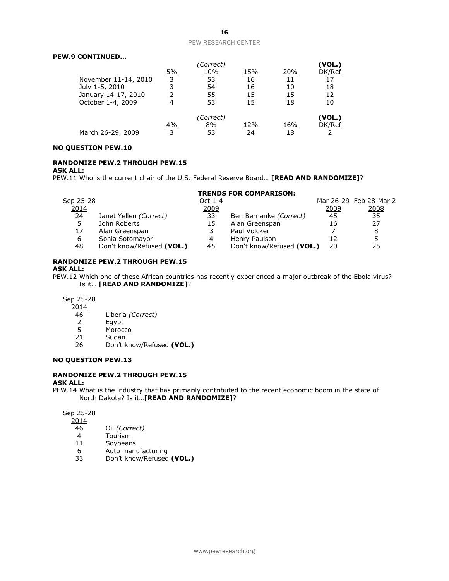#### **PEW.9 CONTINUED…**

|                      |           | (Correct) |     |     | (VOL.) |
|----------------------|-----------|-----------|-----|-----|--------|
|                      | <u>5%</u> | 10%       | 15% | 20% | DK/Ref |
| November 11-14, 2010 | 3         | 53        | 16  | 11  | 17     |
| July 1-5, 2010       | 3         | 54        | 16  | 10  | 18     |
| January 14-17, 2010  | 2         | 55        | 15  | 15  | 12     |
| October 1-4, 2009    | 4         | 53        | 15  | 18  | 10     |
|                      |           | (Correct) |     |     | (VOL.) |
|                      | <u>4%</u> | 8%        | 12% | 16% | DK/Ref |
| March 26-29, 2009    | 3         | 53        | 24  | 18  |        |

#### **NO QUESTION PEW.10**

#### **RANDOMIZE PEW.2 THROUGH PEW.15**

#### **ASK ALL:**

PEW.11 Who is the current chair of the U.S. Federal Reserve Board… **[READ AND RANDOMIZE]**?

#### **TRENDS FOR COMPARISON:**

| Sep 25-28 |                           | Oct 1-4 |                           |      | Mar 26-29 Feb 28-Mar 2 |
|-----------|---------------------------|---------|---------------------------|------|------------------------|
| 2014      |                           | 2009    |                           | 2009 | 2008                   |
| 24        | Janet Yellen (Correct)    | 33      | Ben Bernanke (Correct)    | 45   | 35                     |
|           | John Roberts              | 15      | Alan Greenspan            | 16   | 27                     |
| 17        | Alan Greenspan            |         | Paul Volcker              |      | 8                      |
| 6         | Sonia Sotomayor           |         | Henry Paulson             |      | ᄃ                      |
| 48        | Don't know/Refused (VOL.) | 45      | Don't know/Refused (VOL.) | 20   | 25                     |

#### **RANDOMIZE PEW.2 THROUGH PEW.15**

#### **ASK ALL:**

PEW.12 Which one of these African countries has recently experienced a major outbreak of the Ebola virus? Is it… **[READ AND RANDOMIZE]**?

#### Sep 25-28

 $\frac{2014}{46}$ 

- 46 Liberia *(Correct)*
- 2 Egypt
- 5 Morocco
- 21 Sudan
- 26 Don't know/Refused **(VOL.)**

#### **NO QUESTION PEW.13**

#### **RANDOMIZE PEW.2 THROUGH PEW.15**

#### **ASK ALL:**

PEW.14 What is the industry that has primarily contributed to the recent economic boom in the state of North Dakota? Is it…**[READ AND RANDOMIZE]**?

Sep 25-28

- 2014
- 46 Oil *(Correct)*
- 4 Tourism<br>11 Soybean
- **Soybeans**
- 6 Auto manufacturing
- 33 Don't know/Refused **(VOL.)**